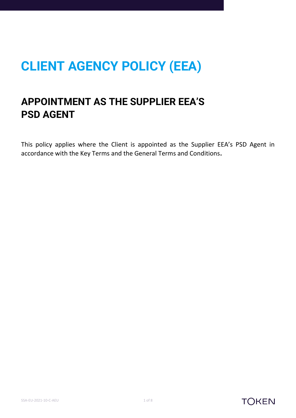# **CLIENT AGENCY POLICY (EEA)**

# **APPOINTMENT AS THE SUPPLIER EEA'S PSD AGENT**

This policy applies where the Client is appointed as the Supplier EEA's PSD Agent in accordance with the Key Terms and the General Terms and Conditions**.**



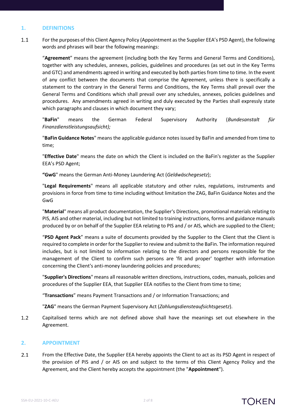# **1. DEFINITIONS**

 $1.1$ For the purposes of this Client Agency Policy (Appointment as the Supplier EEA's PSD Agent), the following words and phrases will bear the following meanings:

"**Agreement**" means the agreement (including both the Key Terms and General Terms and Conditions), together with any schedules, annexes, policies, guidelines and procedures (as set out in the Key Terms and GTC) and amendments agreed in writing and executed by both parties from time to time. In the event of any conflict between the documents that comprise the Agreement, unless there is specifically a statement to the contrary in the General Terms and Conditions, the Key Terms shall prevail over the General Terms and Conditions which shall prevail over any schedules, annexes, policies guidelines and procedures. Any amendments agreed in writing and duly executed by the Parties shall expressly state which paragraphs and clauses in which document they vary;

"**BaFin**" means the German Federal Supervisory Authority (*Bundesanstalt für Finanzdienstleistungsaufsicht);*

"**BaFin Guidance Notes**" means the applicable guidance notes issued by BaFin and amended from time to time;

"**Effective Date**" means the date on which the Client is included on the BaFin's register as the Supplier EEA's PSD Agent;

**"GwG**" means the German Anti-Money Laundering Act (*Geldwäschegesetz*);

"**Legal Requirements**" means all applicable statutory and other rules, regulations, instruments and provisions in force from time to time including without limitation the ZAG, BaFin Guidance Notes and the GwG

"**Material**" means all product documentation, the Supplier's Directions, promotional materials relating to PIS, AIS and other material, including but not limited to training instructions, forms and guidance manuals produced by or on behalf of the Supplier EEA relating to PIS and / or AIS, which are supplied to the Client;

"**PSD Agent Pack**" means a suite of documents provided by the Supplier to the Client that the Client is required to complete in order for the Supplierto review and submit to the BaFin. The information required includes, but is not limited to information relating to the directors and persons responsible for the management of the Client to confirm such persons are 'fit and proper' together with information concerning the Client's anti-money laundering policies and procedures;

"**Supplier's Directions**" means all reasonable written directions, instructions, codes, manuals, policies and procedures of the Supplier EEA, that Supplier EEA notifies to the Client from time to time;

"**Transactions**" means Payment Transactions and / or Information Transactions; and

"**ZAG**" means the German Payment Supervisory Act (*Zahlungsdiensteaufsichtsgesetz*).

 $1.2$ Capitalised terms which are not defined above shall have the meanings set out elsewhere in the Agreement.

# **2. APPOINTMENT**

 $2.1$ From the Effective Date, the Supplier EEA hereby appoints the Client to act as its PSD Agent in respect of the provision of PIS and / or AIS on and subject to the terms of this Client Agency Policy and the Agreement, and the Client hereby accepts the appointment (the "**Appointment**").

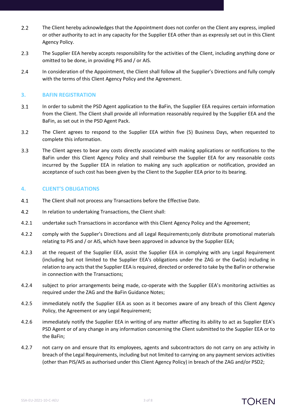- $2.2$ The Client hereby acknowledges that the Appointment does not confer on the Client any express, implied or other authority to act in any capacity for the Supplier EEA other than as expressly set out in this Client Agency Policy.
- $2.3$ The Supplier EEA hereby accepts responsibility for the activities of the Client, including anything done or omitted to be done, in providing PIS and / or AIS.
- $2.4$ In consideration of the Appointment, the Client shall follow all the Supplier's Directions and fully comply with the terms of this Client Agency Policy and the Agreement.

#### <span id="page-2-0"></span>**3. BAFIN REGISTRATION**

- $3.1$ In order to submit the PSD Agent application to the BaFin, the Supplier EEA requires certain information from the Client. The Client shall provide all information reasonably required by the Supplier EEA and the BaFin, as set out in the PSD Agent Pack.
- $3.2$ The Client agrees to respond to the Supplier EEA within five (5) Business Days, when requested to complete this information.
- $3.3$ The Client agrees to bear any costs directly associated with making applications or notifications to the BaFin under this Client Agency Policy and shall reimburse the Supplier EEA for any reasonable costs incurred by the Supplier EEA in relation to making any such application or notification, provided an acceptance of such cost has been given by the Client to the Supplier EEA prior to its bearing.

# **4. CLIENT'S OBLIGATIONS**

- $4.1$ The Client shall not process any Transactions before the Effective Date.
- $4.2$ In relation to undertaking Transactions, the Client shall:
- 4.2.1 undertake such Transactions in accordance with this Client Agency Policy and the Agreement;
- 4.2.2 comply with the Supplier's Directions and all Legal Requirements;only distribute promotional materials relating to PIS and / or AIS, which have been approved in advance by the Supplier EEA;
- 4.2.3 at the request of the Supplier EEA, assist the Supplier EEA in complying with any Legal Requirement (including but not limited to the Supplier EEA's obligations under the ZAG or the GwGs) including in relation to any acts that the Supplier EEA is required, directed or ordered to take by the BaFin or otherwise in connection with the Transactions;
- 4.2.4 subject to prior arrangements being made, co-operate with the Supplier EEA's monitoring activities as required under the ZAG and the BaFin Guidance Notes;
- 4.2.5 immediately notify the Supplier EEA as soon as it becomes aware of any breach of this Client Agency Policy, the Agreement or any Legal Requirement;
- 4.2.6 immediately notify the Supplier EEA in writing of any matter affecting its ability to act as Supplier EEA's PSD Agent or of any change in any information concerning the Client submitted to the Supplier EEA or to the BaFin;
- 4.2.7 not carry on and ensure that its employees, agents and subcontractors do not carry on any activity in breach of the Legal Requirements, including but not limited to carrying on any payment services activities (other than PIS/AIS as authorised under this Client Agency Policy) in breach of the ZAG and/or PSD2;

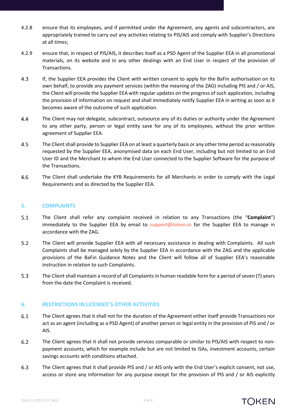- 4.2.8 ensure that its employees, and if permitted under the Agreement, any agents and subcontractors, are appropriately trained to carry out any activities relating to PIS/AIS and comply with Supplier's Directions at all times;
- 4.2.9 ensure that, in respect of PIS/AIS, it describes itself as a PSD Agent of the Supplier EEA in all promotional materials, on its website and in any other dealings with an End User in respect of the provision of Transactions.
- $4.3$ If, the Supplier EEA provides the Client with written consent to apply for the BaFin authorisation on its own behalf, to provide any payment services (within the meaning of the ZAG) including PIS and / or AIS, the Client will provide the Supplier EEA with regular updates on the progress of such application, including the provision of information on request and shall immediately notify Supplier EEA in writing as soon as it becomes aware of the outcome of such application.
- 4.4 The Client may not delegate, subcontract, outsource any of its duties or authority under the Agreement to any other party, person or legal entity save for any of its employees, without the prior written agreement of Supplier EEA.
- $4.5$ The Client shall provide to Supplier EEA on at least a quarterly basis or any other time period as reasonably requested by the Supplier EEA, anonymised data on each End User, including but not limited to an End User ID and the Merchant to whom the End User connected to the Supplier Software for the purpose of the Transactions.
- 4.6 The Client shall undertake the KYB Requirements for all Merchants in order to comply with the Legal Requirements and as directed by the Supplier EEA.

# **5. COMPLAINTS**

- $5.1$ The Client shall refer any complaint received in relation to any Transactions (the "**Complaint**") immediately to the Supplier EEA by email to **[support@token.io](mailto:support@token.io)** for the Supplier EEA to manage in accordance with the ZAG.
- $5.2$ The Client will provide Supplier EEA with all necessary assistance in dealing with Complaints. All such Complaints shall be managed solely by the Supplier EEA in accordance with the ZAG and the applicable provisions of the BaFin Guidance Notes and the Client will follow all of Supplier EEA's reasonable instruction in relation to such Complaints.
- $5.3$ The Client shall maintain a record of all Complaints in human readable form for a period of seven (7) years from the date the Complaint is received.

#### **6. RESTRICTIONS IN LICENSEE'S OTHER ACTIVITIES**

- 6.1 The Client agrees that it shall not for the duration of the Agreement either itself provide Transactions nor act as an agent (including as a PSD Agent) of another person or legal entity in the provision of PIS and / or AIS.
- $6.2$ The Client agrees that it shall not provide services comparable or similar to PIS/AIS with respect to nonpayment accounts, which for example include but are not limited to ISAs, investment accounts, certain savings accounts with conditions attached.
- $6.3$ The Client agrees that it shall provide PIS and / or AIS only with the End User's explicit consent, not use, access or store any information for any purpose except for the provision of PIS and / or AIS explicitly

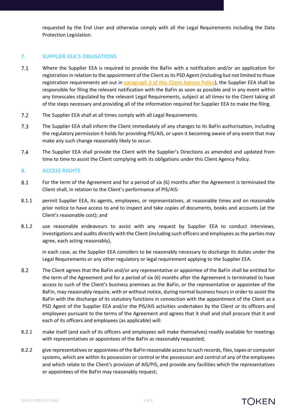requested by the End User and otherwise comply with all the Legal Requirements including the Data Protection Legislation.

# **7. SUPPLIER EEA'S OBLIGATIONS**

- $7.1$ Where the Supplier EEA is required to provide the BaFin with a notification and/or an application for registration in relation to the appointment of the Client as its PSD Agent (including but not limited to those registration requirements set out in **paragraph [3](#page-2-0) of this Client Agency Policy**), the Supplier EEA shall be responsible for filing the relevant notification with the BaFin as soon as possible and in any event within any timescales stipulated by the relevant Legal Requirements, subject at all times to the Client taking all of the steps necessary and providing all of the information required for Supplier EEA to make the filing.
- $7.2$ The Supplier EEA shall at all times comply with all Legal Requirements.
- $7.3$ The Supplier EEA shall inform the Client immediately of any changes to its BaFin authorisation, including the regulatory permission it holds for providing PIS/AIS, or upon it becoming aware of any event that may make any such change reasonably likely to occur.
- $7.4$ The Supplier EEA shall provide the Client with the Supplier's Directions as amended and updated from time to time to assist the Client complying with its obligations under this Client Agency Policy.

# **8. ACCESS RIGHTS**

- 8.1 For the term of the Agreement and for a period of six (6) months after the Agreement is terminated the Client shall, in relation to the Client's performance of PIS/AIS:
- 8.1.1 permit Supplier EEA, its agents, employees, or representatives, at reasonable times and on reasonable prior notice to have access to and to inspect and take copies of documents, books and accounts (at the Client's reasonable cost); and
- 8.1.2 use reasonable endeavours to assist with any request by Supplier EEA to conduct interviews, investigations and audits directly with the Client (including such officers and employees as the parties may agree, each acting reasonably),

in each case, as the Supplier EEA considers to be reasonably necessary to discharge its duties under the Legal Requirements or any other regulatory or legal requirement applying to the Supplier EEA.

- $8.2$ The Client agrees that the BaFin and/or any representative or appointee of the BaFin shall be entitled for the term of the Agreement and for a period of six (6) months after the Agreement is terminated to have access to such of the Client's business premises as the BaFin, or the representative or appointee of the BaFin, may reasonably require, with or without notice, during normal business hours in order to assist the BaFin with the discharge of its statutory functions in connection with the appointment of the Client as a PSD Agent of the Supplier EEA and/or the PIS/AIS activities undertaken by the Client or its officers and employees pursuant to the terms of the Agreement and agrees that it shall and shall procure that it and each of its officers and employees (as applicable) will:
- 8.2.1 make itself (and each of its officers and employees will make themselves) readily available for meetings with representatives or appointees of the BaFin as reasonably requested;
- 8.2.2 give representatives or appointees of the BaFin reasonable access to such records, files, tapes or computer systems, which are within its possession or control or the possession and control of any of the employees and which relate to the Client's provision of AIS/PIS, and provide any facilities which the representatives or appointees of the BaFin may reasonably request;

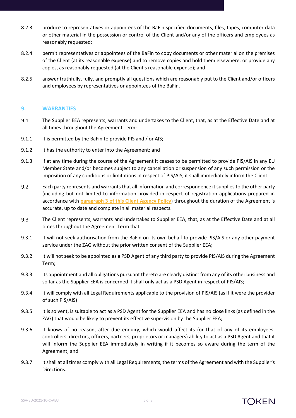- 8.2.3 produce to representatives or appointees of the BaFin specified documents, files, tapes, computer data or other material in the possession or control of the Client and/or any of the officers and employees as reasonably requested;
- 8.2.4 permit representatives or appointees of the BaFin to copy documents or other material on the premises of the Client (at its reasonable expense) and to remove copies and hold them elsewhere, or provide any copies, as reasonably requested (at the Client's reasonable expense); and
- 8.2.5 answer truthfully, fully, and promptly all questions which are reasonably put to the Client and/or officers and employees by representatives or appointees of the BaFin.

# **9. WARRANTIES**

- $9.1$ The Supplier EEA represents, warrants and undertakes to the Client, that, as at the Effective Date and at all times throughout the Agreement Term:
- 9.1.1 it is permitted by the BaFin to provide PIS and / or AIS;
- 9.1.2 it has the authority to enter into the Agreement; and
- 9.1.3 if at any time during the course of the Agreement it ceases to be permitted to provide PIS/AIS in any EU Member State and/or becomes subject to any cancellation or suspension of any such permission or the imposition of any conditions or limitations in respect of PIS/AIS, it shall immediately inform the Client.
- $9.2$ Each party represents and warrants that all information and correspondence it supplies to the other party (including but not limited to information provided in respect of registration applications prepared in accordance with **paragraph [3](#page-2-0) of this Client Agency Policy**) throughout the duration of the Agreement is accurate, up to date and complete in all material respects.
- 9.3 The Client represents, warrants and undertakes to Supplier EEA, that, as at the Effective Date and at all times throughout the Agreement Term that:
- 9.3.1 it will not seek authorisation from the BaFin on its own behalf to provide PIS/AIS or any other payment service under the ZAG without the prior written consent of the Supplier EEA;
- 9.3.2 it will not seek to be appointed as a PSD Agent of any third party to provide PIS/AIS during the Agreement Term;
- 9.3.3 its appointment and all obligations pursuant thereto are clearly distinct from any of its other business and so far as the Supplier EEA is concerned it shall only act as a PSD Agent in respect of PIS/AIS;
- 9.3.4 it will comply with all Legal Requirements applicable to the provision of PIS/AIS (as if it were the provider of such PIS/AIS)
- 9.3.5 it is solvent, is suitable to act as a PSD Agent for the Supplier EEA and has no close links (as defined in the ZAG) that would be likely to prevent its effective supervision by the Supplier EEA;
- 9.3.6 it knows of no reason, after due enquiry, which would affect its (or that of any of its employees, controllers, directors, officers, partners, proprietors or managers) ability to act as a PSD Agent and that it will inform the Supplier EEA immediately in writing if it becomes so aware during the term of the Agreement; and
- 9.3.7 it shall at all times comply with all Legal Requirements, the terms of the Agreement and with the Supplier's Directions.

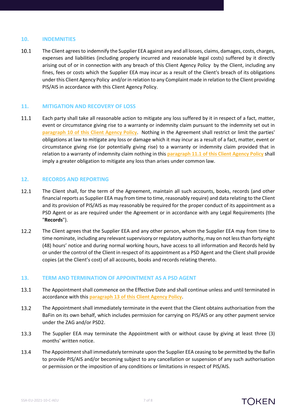#### <span id="page-6-0"></span>**10. INDEMNITIES**

10.1 The Client agrees to indemnify the Supplier EEA against any and all losses, claims, damages, costs, charges, expenses and liabilities (including properly incurred and reasonable legal costs) suffered by it directly arising out of or in connection with any breach of this Client Agency Policy by the Client, including any fines, fees or costs which the Supplier EEA may incur as a result of the Client's breach of its obligations under this Client Agency Policy and/or in relation to any Complaint made in relation to the Client providing PIS/AIS in accordance with this Client Agency Policy.

#### **11. MITIGATION AND RECOVERY OF LOSS**

<span id="page-6-1"></span>Each party shall take all reasonable action to mitigate any loss suffered by it in respect of a fact, matter, 11.1 event or circumstance giving rise to a warranty or indemnity claim pursuant to the indemnity set out in **paragraph [10](#page-6-0) of this Client Agency Policy**. Nothing in the Agreement shall restrict or limit the parties' obligations at law to mitigate any loss or damage which it may incur as a result of a fact, matter, event or circumstance giving rise (or potentially giving rise) to a warranty or indemnity claim provided that in relation to a warranty of indemnity claim nothing in this **paragraph [11.1](#page-6-1) of this Client Agency Policy** shall imply a greater obligation to mitigate any loss than arises under common law.

#### **12. RECORDS AND REPORTING**

- <span id="page-6-3"></span>12.1 The Client shall, for the term of the Agreement, maintain all such accounts, books, records (and other financial reports as Supplier EEA may from time to time, reasonably require) and data relating to the Client and its provision of PIS/AIS as may reasonably be required for the proper conduct of its appointment as a PSD Agent or as are required under the Agreement or in accordance with any Legal Requirements (the "**Records**").
- 12.2 The Client agrees that the Supplier EEA and any other person, whom the Supplier EEA may from time to time nominate, including any relevant supervisory or regulatory authority, may on not less than forty eight (48) hours' notice and during normal working hours, have access to all information and Records held by or under the control of the Client in respect of its appointment as a PSD Agent and the Client shall provide copies (at the Client's cost) of all accounts, books and records relating thereto.

#### <span id="page-6-2"></span>**13. TERM AND TERMINATION OF APPOINTMENT AS A PSD AGENT**

- 13.1 The Appointment shall commence on the Effective Date and shall continue unless and until terminated in accordance with this **paragraph [13](#page-6-2) of this Client Agency Policy**.
- 13.2 The Appointment shall immediately terminate in the event that the Client obtains authorisation from the BaFin on its own behalf, which includes permission for carrying on PIS/AIS or any other payment service under the ZAG and/or PSD2.
- 13.3 The Supplier EEA may terminate the Appointment with or without cause by giving at least three (3) months' written notice.
- 13.4 The Appointment shall immediately terminate upon the Supplier EEA ceasing to be permitted by the BaFin to provide PIS/AIS and/or becoming subject to any cancellation or suspension of any such authorisation or permission or the imposition of any conditions or limitations in respect of PIS/AIS.